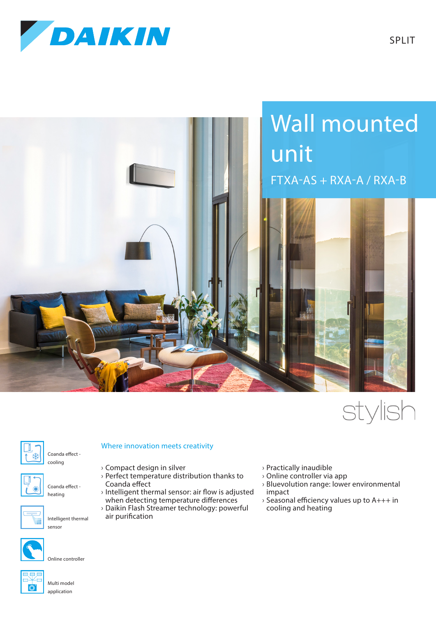



## stylish



Coanda effect -



Coanda effect heating

cooling



Intelligent thermal sensor

Online controller



## Multi model application

Where innovation meets creativity

- › Compact design in silver
- › Perfect temperature distribution thanks to Coanda effect
- › Intelligent thermal sensor: air flow is adjusted when detecting temperature differences
- › Daikin Flash Streamer technology: powerful air purification
- › Practically inaudible
- › Online controller via app
- › Bluevolution range: lower environmental impact
- › Seasonal efficiency values up to A+++ in cooling and heating